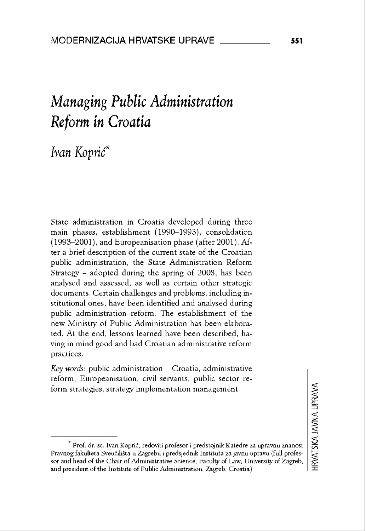# *Managing Public Administration Reform in Croatia*

# *Ivan Koprić\**

State administration in Croatia developed during three main phases, establishment (1990-1993), consolidation (1993-2001), and Européanisation phase (after 2001). After a brief description of the current state of thè Croatían public administration, the State Administration Reform Strategy - adopted during the spring of 2008, has been analysed and assessed, as well as certain other strategie documents. Certain challenges and problems, including institutional ones, have been identified and analysed during public administration reform. The establishment of the new Ministiy of Public Administration has been elaborated. At the end, lessons learned have been described, having in mind good and bad Croatian administrative reform practices.

*Key words:* public administration - Croatia, administrative reform, Europeanisation, civil servants, public sector reform strategies, strategy implementation management

Prof. dr. sc. Ivan Koprić, redoviti profesor i predstojnik Katedre za upravnu znanost Pravnog fakulteta Sveučilišta u Zagrebu i predsjednik Instituta za javnu upravu (full professor and head of the Chair of Administrative Science, Faculty of Law, University of Zagreb, and president of the Institute of Public Administration, Zagreb, Croatia)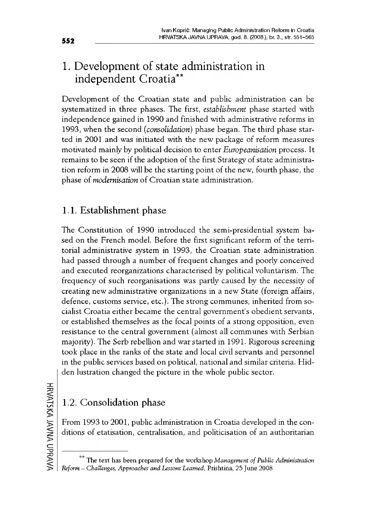# 1. Development of state administration in independent Croatia\*\*

Development of the Croatian state and public administration can be systematized in three phases. The first, *establishment* phase started with independence gained in 1990 and finished with administrative reforms in 1993, when the second *(consolidation)* phase began. The third phase started in 2001 and was initiated with the new package of reform measures motivated mainly by politicai decision to enter *Européanisation* process. It remains to be seen if the adoption of the first Strategy of state administration reform in 2008 will be the starting point of the new, fourth phase, the phase of *modernisation* of Croatian state administration.

### 1.1. Establishment phase

The Constitution of 1990 introduced the semi-presidential system based on the French model. Before the first significant reform of the territorial administrative system in 1993, the Croatian state administration had passed through a number of frequent changes and poorly conceived and executed reorganizations characterised by politicai voluntarism. The frequency of such réorganisations was partly caused by the necessity of creating new administrative organizations in a new State (foreign affairs, defence, customs service, etc.). The strong communes, inherited from socialist Croatia either became the central government's obedient servants, or established themselves as the focal points of a strong opposition, even resistance to the central government (almost all communes with Serbian majority). The Serb rebellion and war started in 1991. Rigorous screening took place in thè ranks of thè state and local civil servants and personnel in the public services based on politicai, national and similar criteria. Hidden lustration changed the picture in the whole public sector.

### 1.2. Consolidation phase

From 1993 to 2001, public administration in Croatia developed in the conditions of étatisation, centralisation, and politicisation of an authoritarian

The text has been prepared for thè workshop *Management ofPublic Administration Reform - Challenges, Approaches and Lessons Learned,* Prishtina, <sup>25</sup> June <sup>2008</sup>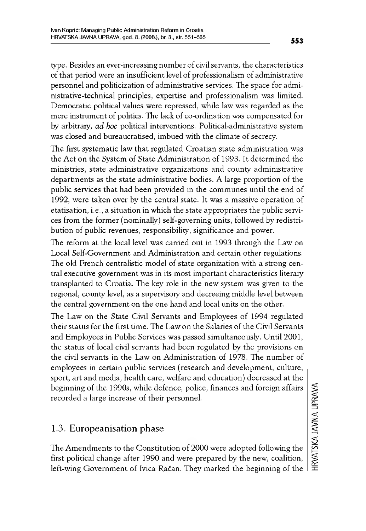type. Besides an ever-increasing number of civil servants, the characteristics of that period were an insufficient level of professionalism of administrative personnel and politicization of administrative services. The space for administrative-technical principles, expertise and professionalism was limited. Démocratie politicai values were repressed, while law was regarded as the mere instrument of politics. The lack of co-ordination was compensated for by arbitrary, *ad hoc* political interventions. Political-administrative system was closed and bureaucratised, imbued with the climate of secrecy.

The first systematic law that regulated Croatian state administration was the Act on the System of State Administration of 1993. It determined the ministries, state administrative organizations and county administrative departments as thè state administrative bodies. A large proportion of the public services that had been provided in the communes until the end of 1992, were taken over by the central state. It was a massive operation of étatisation, i.e., a situation in which thè state appropriâtes the public services from the former (nominally) self-governing units, followed by redistribution of public revenues, responsibilüy, significance and power.

The reform at the local level was carried out in 1993 through the Law on Local Self-Government and Administration and certain other regulations. The old French centralistic model of state organization with a strong central executive government was in its most important characteristics literary transplanted to Croatia. The key role in the new system was given to the regional, county level, as a supervisory and decreeing middle level between the central government on the one hand and local units on the other.

The Law on the State Civil Servants and Employees of 1994 regulated their status for the first time. The Law on the Salaries of the Civil Servants and Employees in Public Services was passed simultaneously. Until 2001, the status of local civil servants had been regulated by the provisions on the civil servants in the Law on Administration of 1978. The number of employees in certain public services (research and development, culture, sport, art and media, health care, welfare and education) decreased at the beginning of the 1990s, while defence, police, finances and foreign affairs recorded a large increase of their personnel.

### 1.3. Europeanisation phase

The Amendments to the Constitution of 2000 were adopted following the first politicai change after 1990 and were prepared by the new, coalition, left-wing Government of Ivica Račan. They marked the beginning of the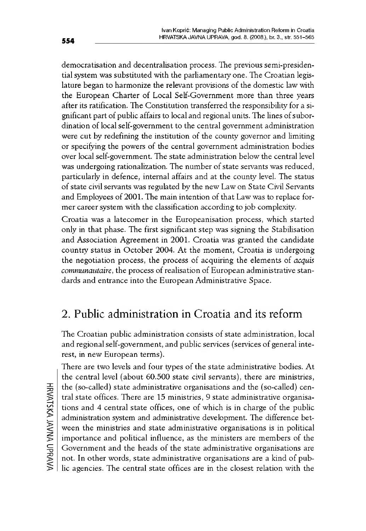démocratisation and décentralisation process. The previous semi-presidential system was substituted with the parliamentary one. The Croatian legislature began to harmonize the relevant provisions of the domestic law with the European Charter of Local Self-Government more than three years after its ratification. The Constitution transferred the responsibility for a significant part of public affairs to local and regional units. The lines of subordination of local self-government to the central government administration were eut by redefining the institution of the county governor and limiting or specifying the powere of the central government administration bodies over local self-government. The state administration below the central level was undergoing rationalization. The number of state servants was reduced, particularly in defence, internal affaire and at the county level. The status of state civil servants was regulated by the new Law on State Civil Servants and Employees of 2001. The main intention of that Law was to replace former career system with the classification according to job complexity.

Croatia was a latecomer in the Europeanisation process, which started only in that phase. The first significant step was signing the Stabilisation and Association Agreement in 2001. Croatia was granted the candidate country status in October 2004. At thè moment, Croatia is undergoing the negotiation process, the process of acquiring the elements of *acquis communautaire*, the process of realisation of European administrative standards and entrance into the European Administrative Space.

# 2. Public administration in Croatia and its reform

The Croatian public administration consists of state administration, local and regional self-government, and public services (services of general interest, in new European terms).

There are two levels and four types of the state administrative bodies. At the central level (about 60.500 state civil servants), there are ministries, the (so-called) state administrative organisations and the (so-called) central state offices. There are 15 ministries, 9 state administrative organisations and 4 central state offices, one of which is in charge of the public administration system and administrative development. The difference between the ministries and state administrative organisations is in politicai importance and political influence, as the ministers are members of the Government and the heads of the state administrative organisations are not. In other words, state administrative organisations are a kind of public agencies. The central state offices are in the closest relation with the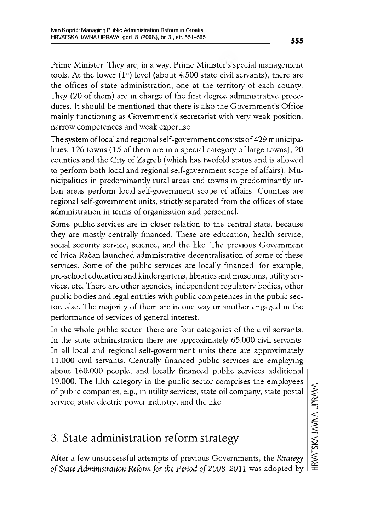Prime Minister. They are, in a way, Prime Minister's special management tools. At the lower  $(1^{\text{st}})$  level (about 4.500 state civil servants), there are the offices of state administration, one at the territory of each county. They (20 of them) are in charge of the first degree administrative procedures. It should be mentioned that there is also the Government's Office mainly functioning as Government's secretariat with very weak position, narrow compétences and weak expertise.

The system of local and regional self-government consists of 429 municipalities, 126 towns (15 of them are in a special category of large towns), 20 counties and thè City of Zagreb (which has twofold status and is allowed to perform both local and regional self-government scope of affairs). Municipalities in predominantly rural areas and towns in predominantly urban areas perform local self-government scope of affairs. Counties are regional self-government units, strictly separated from the offices of state administration in terms of organisation and personnel.

Some public services are in doser relation to the central state, because they are mostly centrally financed. These are education, health service, social security service, science, and the like. The previous Government of Ivica Račan launched administrative décentralisation ofsome of these services. Some of the public services are locally financed, for example, pre-school education and kindergartens, libraries and museums, utility services, etc. There are other agencies, independent regulatory bodies, other public bodies and legal entities with public compétences in the public sector, also. The majority of them are in one way or another engaged in the performance of services of general interest.

In the whole public sector, there are four categories of the civil servants. In the state administration there are approximately  $65.000$  civil servants. In all local and regional self-government units there are approximately 11.000 civil servants. Centrally financed public services are employing about 160.000 people, and locally financed public services additional 19.000. The fifth category in the public sector comprises the employees of public Companies, e.g., in utility services, state oil company, state postal service, state electric power industry, and the like.

### 3. State administration reform strategy

After a few unsuccessful attempts of previous Governments, the *Strategy of State Administration Reform for the Period of 2008-2011* was adopted by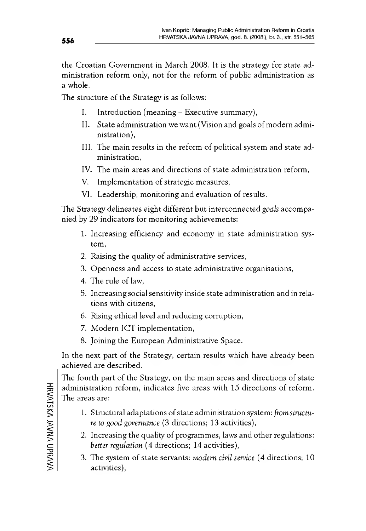the Croatian Government in March 2008. It is thè strategy for state administration reform only, not for the reform of public administration as a whole.

The structure of the <sup>S</sup>trategy is as follows:

- I. Introduction (meaning Executive summary),
- II. State administration we want (Vision and goals of modern administration),
- III. The main results ín the reform of politicai System and state administration,
- IV. The main areas and directions of state administration reform,
- V. Implementation of strategic measures,
- VI. Leadership, monitoring and évaluation of results.

The Strategy delineates eight different but interconnected *goals* accompanied by 29 indicatore for monitoring achievements:

- 1. Increasing efficiency and economy in state administration System,
- 2. Raising the quality of administrative services,
- 3. Openness and access to state administrative organisations,
- 4. The rule of law,
- 5. Increasing socialsensitivity inside state administration and in relations with citizens,
- 6. Rising ethical level and reducing corruption,
- 7. Modern ICT implementation,
- 8. Joining the European Administrative Space.

In the next part of the Strategy, certain results which have already been achieved are described.

The fourth part of the Strategy, on the main areas and directions of state administration reform, indicates five areas with 15 directions of reform. The areas are:

- 1. Structural adaptations of state administration system: *from structure to good governanee* (3 directions; 13 activities),
- 2. Increasing the quality of programmes, laws and other regulations: *better régulation* (4 directions; 14 activities),
- 3. The system of state servants: *modern civil service* (4 directions; 10) activities),

HRVATSKAHRVATSKA JAVNA UPRAVA UPRAVA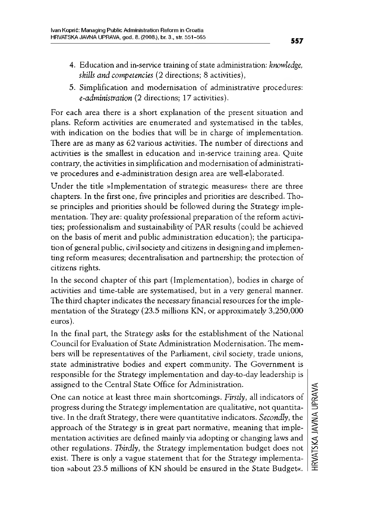- 4. Education and in-service training ofstate administration: *knowledge, skills and competencies* (2 directions; 8 activities),
- 5. Simplification and modernisation of administrative procedures: *e-administration* (2 directions; 17 activities).

For each area there is a short explanation of the present situation and plans. Reform activities are enumerated and systematised in the tables, with indication on the bodies that will be in charge of implementation. There are as many as 62 various activities. The number of directions and activities is the smallest in éducation and in-service training area. Quite contrary, the activities in simplification and modernisation of administrative procedures and e-administration design area are well-elaborated.

Under the title »Implementation of strategie measures« there are three chapters. In the first one, five principles and priorities are described. Those principles and priorities should be followed during the Strategy implémentation. They are: quality professional preparation of the reform activities; professionalism and sustainability of PAR results (could be achieved on the basis of merit and public administration éducation); the participation of general public, civil society and citizens in designing and implementing reform measures; décentralisation and partnership; the protection of citizens rights.

In the second chapter of this part (Implementation), bodies in charge of activities and time-table are systematised, but in a very general manner. The third chapter indicates the necessary financial resources for the implementation of the Strategy (23.5 millions KN, or approximately 3,250,000 euros).

In the final part, the Strategy asks for the establishment of the National Council for Evaluation of State Administration Modernisation. The members will be representatives of the Parliament, civil society, trade unions, state administrative bodies and expert community. The Government is responsible for the Strategy implementation and day-to-day leadership is assigned to the Central State Office for Administration.

One can notice at least three main shortcomings. *Firstly,* ail indicators of progress during the Strategy implémentation are qualitative, not quantitative. In the draft Strategy, there were quantitative indicators. *Secondly,* the approach of the Strategy is in great part normative, meaning that implémentation activities are defined mainlyvia adopting or changing laws and other regulations. *Thirdly*, the Strategy implementation budget does not exist. There is only a vague statement that for the Strategy implementation »about 23.5 millions of KN should be ensured in the State Budget«.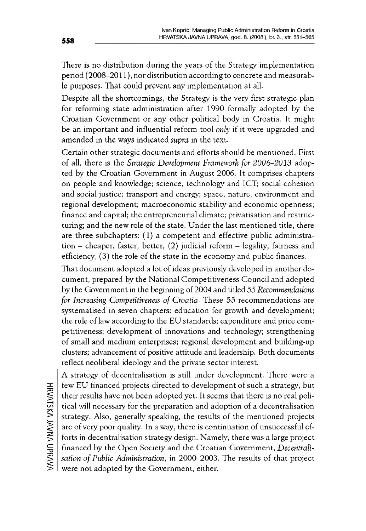There is no distribution during the years of the Strategy implementation period (2008-2011 ), nor distribution according to concrete and measurable purposes. That could prevent any implementation at all.

Despite ali the shortcomings, the Strategy is the very first strategie plan for reforming state administration after 1990 formally adopted by the Croatian Government or any other politicai body in Croatia. It might be an important and influential reform tool *only* if it were upgraded and amended in the ways indicated *supra* in the text.

Certain other strategie documents and efforts should be mentioned. First of all, there is the *Strategie Development Framework for 2006-2013* adopted by the Croatian Government in August 2006. It comprises chapters on people and knowledge; science, technology and ICT; social cohésion and social justice; transport and energy; space, nature, environment and regional development; macroeconomic stability and economic openness; finance and capital; the entrepreneurial climate; privatisation and restructuring; and the new role of the state. Under the last mentioned title, there are three subchapters: (1) a competent and effective public administration - cheaper, faster, better, (2) judicial reform - legality, fairness and efficiency,  $(3)$  the role of the state in the economy and public finances.

That document adopted a lot of ideas previously developed in another document, prepared by the National Competitiveness Council and adopted by the Government in the beginning of 2004 and titled *55 Recommendations for Increasing Competitiveness of Croatia.* These 55 recommendations are systematised in seven chapters: education for growth and development: the rule of law according to the EU standards; expenditure and price competitiveness; development of innovations and technology; strengtheníng of small and medium enterpríses; regional development and buíldíng-up clusters; advancement of positive attitude and leadership. Both documents reflect neoliberal ideology and the private sector interest.

A strategy of décentralisation is stili under development. There were a few EU financed projects directed to development of such a strategy, but their results have not been adopted yet. It seems that there is no real political will necessary for the preparation and adoption of a decentralisation strategy. Also, generally speaking, the results of the mentioned projects are of very poor quality. In a way, there is continuation of unsuccessful efforts in décentralisation strategy design. Namely, there was a large project financed by thè Open Society and the Croatian Government, *Décentralisation of Public Administration,* in 2000-2003. The results of that project were not adopted by the Government, either.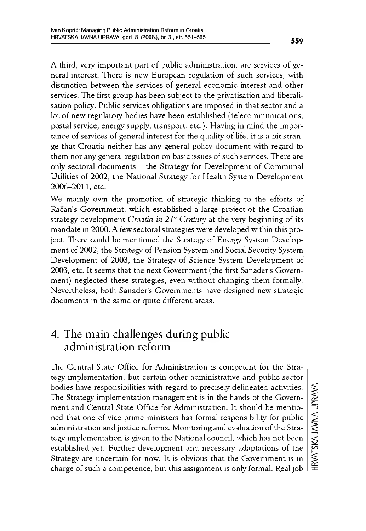A third, very important part of public administration, are services of general interest. There is new European regulation of such services, with distinction between the services of general economic interest and other services. The first group has been subject to the privatisation and liberalisation policy. Public services obligations are imposed in that sector and a lot of new regulatory bodies have been established (telecommunications, postal service, energy supply, transport, etc.). Having in mind the importance of services of general interest for the quality of life, it is a bit strange that Croatía neither has any general policy document with regard to them nor any general regulation on basic issues of such services. There are only sectoral documents - the Strategy for Development of Communal Utilities of 2002, the National Strategy for Health System Development 2006-2011, etc.

We mainly own the promotion of strategie thinking to the efforts of Racan's Government, which established a large project of the Croatian strategy development *Croatía in 21st Century* at the veiy beginning of its mandate in 2000. A few sectoralstrategies were developed within this project. There could be mentioned the Strategy of Energy System Development of 2002, the Strategy of Pension System and Social Security System Development of 2003, the Strategy of Science System Development of 2003, etc. It seems that the next Government (the first Sanader's Government) neglected these strategies, even without changing them formally. Nevertheless, both Sanader's Governments have designed new strategic documents in the same or quite different areas.

### 4. The main challenges during public administration reform

The Central State Office for Administration is competent for the Strategy implementation, but certain other administrative and public sector bodies hâve responsibilities with regard to precisely delineated activities. The Strategy implementation management is in the hands of the Government and Central State Office for Administration. It should be mentioned that one of vice prime ministers has formai responsibility for public administration and justice reforms. Monitoring and evaluation of the Strategy implementation is given to the National council, which has not been established yet. Further development and necessary adaptations of the Strategy are uncertain for now. It is obvious that the Government is in charge of such a competence, but this assignment is only formal. Real job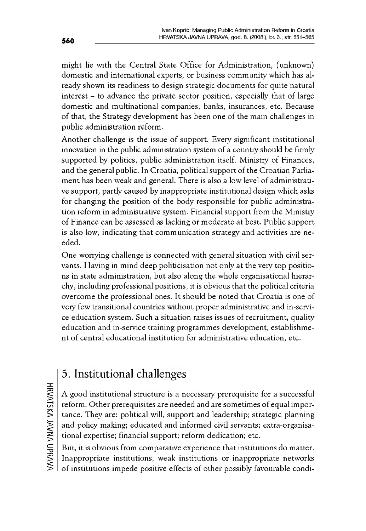might lie with the Central State Office for Administration, (unknown) domestic and international experts, or business community which has already shown its readiness to design strategie documents for quite natural interest – to advance the private sector position, especially that of large domestic and multinational Companies, banks, insurances, etc. Because of that, thè Strategy development has been one of thè main challenges in public administration reform.

Another challenge is the issue of support. Every significant institutional innovation in the public administration system of a country should be firmly supported by politics, public administration itself, Ministry of Finances, and the general public. In Croatia, political support of the Croatian Parliament has been weak and generai. There is also a low level of administrative support, partly caused by inappropriate instítutional design which asks for changing the position of the body responsible for public administration reform in administrative system. Financial support from the Ministry of Finance can be assessed as lacking or moderate at best. Public support is also low, índícatíng that communication strategy and actívítíes are needed.

One worrying challenge is connected wíth general situation wíth civil servants. Havíng ín mind deep polítícísatíon not only at the very top positions ín state administration, but also along the whole organisational hierarchy, including professional positions, ít is obvious that the politicai criteria overcome the professional ones. It should be noted that Croatia is one of very few transitional countries without proper administrative and in-service education system. Such a situation raises issues of recruitment, quality éducation and ín-service training programmes development, establishment of central educational institution for administrative education, etc.

# 5. Instítutional challenges

A good institutional structure is a necessary prerequisite for a successful reform. Other prerequisites are needed and are sometimes of equal importance. They are: politicai will, support and leadership; strategie planning and policy making; educated and informed civil servants; extra-organisational expertise; financial support; reform dedication; etc.

But, it is obvious from comparative experience that institutions do matter. Inappropriate institutions, weak institutions or inappropriate networks of institutions impede positive effects of other possibly favourable condì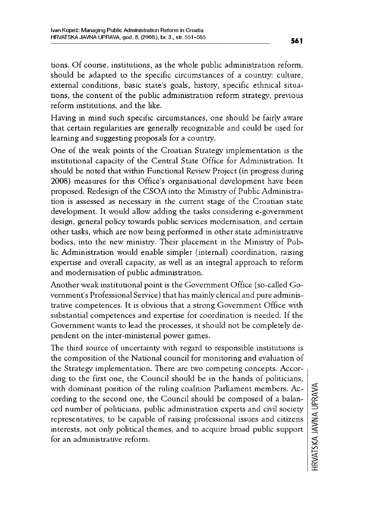tions. Of course, institutions, as thè whole public administration reform, should be adapted to the specific circumstances of a country: culture, external conditions, basic state's goals, history, specific ethnical situations, the content of the public administration reform strategy, previous reform institutions, and the like.

Having in mind such specific círcumstances, one should be faírly aware that certain regularities are generally recognizable and could be used fór learning and suggesting proposals for a country.

One of the weak points of the Croatian Strategy implementation is the institutional capacity of the Central State Office for Administration. It should be noted that within Functional Review Project (in progress during 2008) measures for this Office's organisational development hâve been proposed. Redesign of the CSOA into the Ministry of Public Administration is assessed as necessary in the current stage of the Croatian state development. It would allow adding the tasks considering e-government design, general policy towards public services modernisation, and certain other tasks, which are now being performed in other state administrative bodies, into the new ministry. Their placement in the Ministry of Public Administration would enable simpler (internai) coordination, raising expertise and overall capacity, as well as an integral approach to reform and modernisation of public administration.

Another weak institutional point is the Government Office (so-called Government's Professional Service) that has mainlyclérical and pure administrative compétences. It is obvious that a strong Government Office with substantial competences and expertise for coordination is needed. If the Government wants to lead the processes, it should not be compietely dépendent on the inter-ministerial power games.

The third source of uncertainty with regard to responsible institutions is the composition of the National council for monitoring and évaluation of the Strategy implémentation. There are two competing concepts. According to the first one, the Council should be in the hands of politicians, with dominant position of the ruling coalition Parliament members. According to the second one, the Council should be composed of a balanced number of politicians, public administration experts and civil society representatives, to be capable of raising professional issues and citizens interests, not only political themes, and to acquire broad public support for an administrative reform.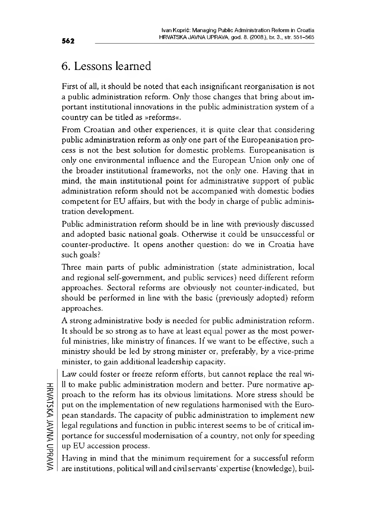# 6. Lessons learned

First of all, it should be noted that each insignificant reorganisation is not a public administration reform. Only those changes that bring about important institutional innovations in the public administration system of a country can be titled as »reforms«.

From Croatian and other experiences, it is quite clear that considering public administration reform as only one part of the Europeanisation process is not the best solution for domestic problems. Europeanisation is only one environmental influence and the European Union only one of the broader institutional frameworks, not the only one. Having that in mind, the main institutional point for administrative support of public administration reform should not be accompanied with domestic bodies competent for EU affairs, but with thè body in charge of public administration development.

Public administration reform should be in line with previously discussed and adopted basic national goals. Otherwise it could be unsuccessful or counter-productive. It opens another question: do we in Croatia have such goals?

Three main parts of public administration (state administration, local and regional self-government, and public services) need different reform approaches. Sectoral reforms are obviously not counter-indicated, but should be performed in line with thè basic (previously adopted) reform approaches.

A strong administrative body is needed for public administration reform. It should be so strong as to have at least equal power as the most powerful ministries, like ministry of finances. If we want to be effective, such a ministiy should be led by strong minister or, preferably, by a vice-prime minister, to gain additional leadership capacity.

Law could foster or freeze reform efforts, but cannot replace the real will to make public administration modern and better. Pure normative approach to the reform has its obvious limitations. More stress should be put on the implementation of new regulations harmonised with the European standards. The capacity of public administration to implement new legal regulations and function in public interest seems to be of critical importance for successful modernisation of a country, not only for speeding up EU accession process.

Having in mind that the minimum requirement for a successful reform are institutions, political will and civil servants' expertise (knowledge), buil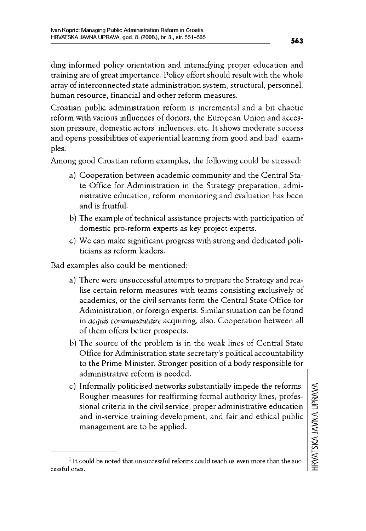díng informed policy orientation and intensifying proper éducation and training are of great importance. Policy effortshould resuit with the whole array of interconnected state administration system, structural, personnel, human resource, financial and other reform measures.

Croatian public administration reform is incrementai and a bit chaotic reform with various influences of donors, the European Union and accession pressure, domestic actors' influences, etc. It shows moderate success and opens possibilities of experiential learning from good and bad<sup>1</sup> examples.

Among good Croatian reform examples, the following could be stressed:

- a) Cooperation between academic community and the Central State Office for Administration in the Strategy preparation, administrative éducation, reform monitoring and évaluation has been and is fruitful.
- b) The example of technical assistance projects with participation of domestic pro-reform experts as key project experts.
- c) We can make significant progress with strong and dedicated politicians as reform leaders.

Bad examples also could be mentioned:

- a) There were unsuccessful attempts to prepare the Strategy and realise certain reform measures with teams consisting exclusively of academies, or the civil servants form the Central State Office for Administration, or foreign experts. Similar situation can be found in *acquis communautaire* acquiring, also. Cooperation between all of them offers better prospects.
- b) The source of the problem is ín the weak línes of Central State Office for Administration state secretary's political accountability to the Prime Minister. Stronger position of a body responsíble fór administrative reform is needed.
- c) Informally polítícised networks substantíally ímpede the reforms. Rougher measures fór reaffírmíng formai authoríty línes, professional crítería in the civil service, proper administrative education and ín-service training development, and fair and ethícal public management are to be applied.

 $1$  It could be noted that unsuccessful reforms could teach us even more than the successful ones.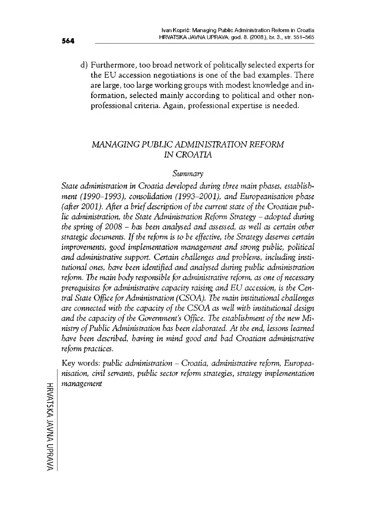d) Furthermore, too broad network of politically selected experts for the EU accession negotiations is one of the bad examples. There are large, too large working groups with modest knowledge and information, selected mainly according to politicai and other nonprofessional criteria. Again, professional expertise is needed.

#### *MANAGING PUBLIC ADMINISTRATION REFORM IN CROATIA*

#### *Summary*

*State administration in Croatia developed during three main phases, establishment (1990-1993), consolidation (1993-2001), and Européanisation phase (after 2001). After a brief description of the current state of thè Croatian public administration, the State Administration Reform Strategy - adopted during the spring of <sup>2008</sup> - has been analysed and assessed, as well as certain other strategie documents. Ifthe reform is to be effective, the Strategy deserves certain improvements, good implémentation management and strong public, politicai and administrative support. Certain challenges and Problems, including institutional ones, hâve been identified and analysed during public administration reform. The main body responsible for administrative reform, as one ofnecessary prerequisites for administrative capacity raising and EU accession, is the Central State Office forAdministration (CSOA). The main institutional challenges are connected with the capacity of the CSOA as well with institutional design and the capacity of the Government's Office. The establishment of the new Ministry ofPublic Administration has been elaborated. At the end, lessons learned hâve been deseribed, having in mind good and bad Croatian administrative reform practices.*

Key words: *public administration - Croatia, administrative reform, Européanisation, civil servants, public sector reform strategies, strategy implémentation management*

HRVATSKAHRVATSKA JAVNA UPRAVA UPRAVA